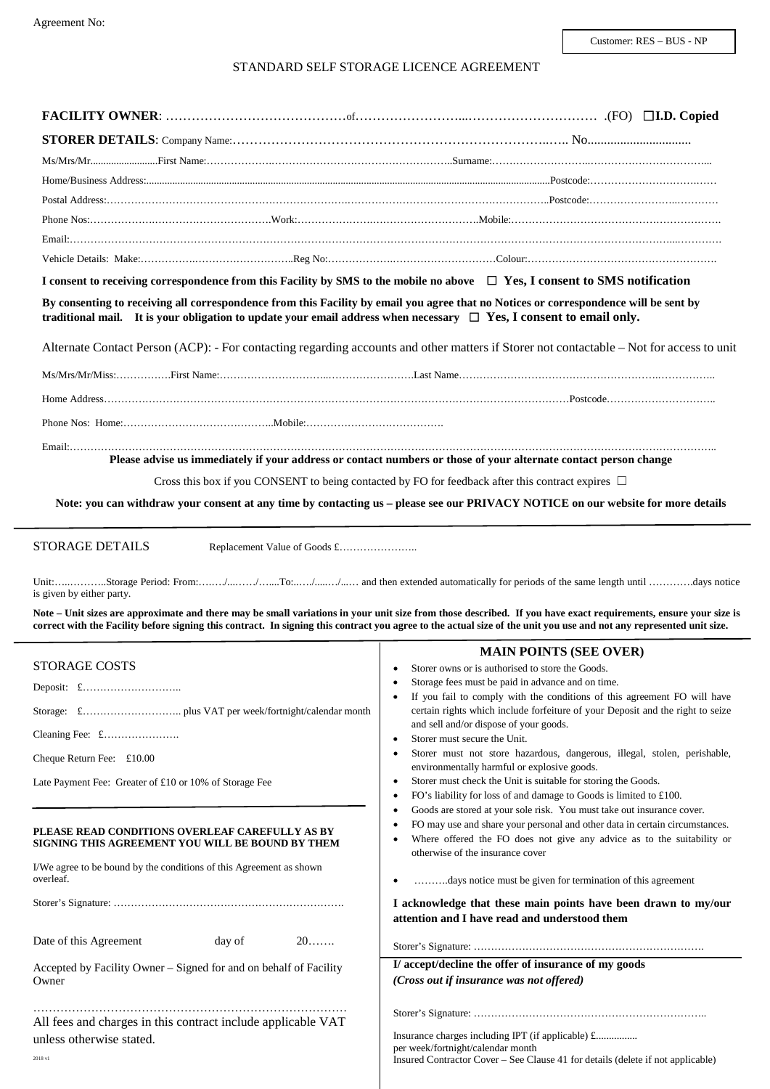# STANDARD SELF STORAGE LICENCE AGREEMENT

| I consent to receiving correspondence from this Facility by SMS to the mobile no above $\Box$ Yes, I consent to SMS notification                                                                                                                                  |                                                                                                                                                                                                                                                                                                                                         |
|-------------------------------------------------------------------------------------------------------------------------------------------------------------------------------------------------------------------------------------------------------------------|-----------------------------------------------------------------------------------------------------------------------------------------------------------------------------------------------------------------------------------------------------------------------------------------------------------------------------------------|
| By consenting to receiving all correspondence from this Facility by email you agree that no Notices or correspondence will be sent by<br>traditional mail. It is your obligation to update your email address when necessary $\Box$ Yes, I consent to email only. |                                                                                                                                                                                                                                                                                                                                         |
|                                                                                                                                                                                                                                                                   | Alternate Contact Person (ACP): - For contacting regarding accounts and other matters if Storer not contactable – Not for access to unit                                                                                                                                                                                                |
|                                                                                                                                                                                                                                                                   |                                                                                                                                                                                                                                                                                                                                         |
|                                                                                                                                                                                                                                                                   |                                                                                                                                                                                                                                                                                                                                         |
|                                                                                                                                                                                                                                                                   |                                                                                                                                                                                                                                                                                                                                         |
|                                                                                                                                                                                                                                                                   |                                                                                                                                                                                                                                                                                                                                         |
|                                                                                                                                                                                                                                                                   | Please advise us immediately if your address or contact numbers or those of your alternate contact person change                                                                                                                                                                                                                        |
| Cross this box if you CONSENT to being contacted by FO for feedback after this contract expires $\Box$                                                                                                                                                            |                                                                                                                                                                                                                                                                                                                                         |
|                                                                                                                                                                                                                                                                   | Note: you can withdraw your consent at any time by contacting us - please see our PRIVACY NOTICE on our website for more details                                                                                                                                                                                                        |
| is given by either party.                                                                                                                                                                                                                                         | Note - Unit sizes are approximate and there may be small variations in your unit size from those described. If you have exact requirements, ensure your size is<br>correct with the Facility before signing this contract. In signing this contract you agree to the actual size of the unit you use and not any represented unit size. |
| <b>STORAGE COSTS</b>                                                                                                                                                                                                                                              | <b>MAIN POINTS (SEE OVER)</b>                                                                                                                                                                                                                                                                                                           |
|                                                                                                                                                                                                                                                                   | Storer owns or is authorised to store the Goods.<br>Storage fees must be paid in advance and on time.                                                                                                                                                                                                                                   |
|                                                                                                                                                                                                                                                                   | If you fail to comply with the conditions of this agreement FO will have                                                                                                                                                                                                                                                                |
|                                                                                                                                                                                                                                                                   | certain rights which include forfeiture of your Deposit and the right to seize<br>and sell and/or dispose of your goods.                                                                                                                                                                                                                |
|                                                                                                                                                                                                                                                                   | Storer must secure the Unit.<br>٠<br>Storer must not store hazardous, dangerous, illegal, stolen, perishable,<br>٠                                                                                                                                                                                                                      |
| Cheque Return Fee: £10.00                                                                                                                                                                                                                                         | environmentally harmful or explosive goods.                                                                                                                                                                                                                                                                                             |
| Late Payment Fee: Greater of £10 or 10% of Storage Fee                                                                                                                                                                                                            | Storer must check the Unit is suitable for storing the Goods.<br>٠<br>FO's liability for loss of and damage to Goods is limited to £100.<br>٠                                                                                                                                                                                           |
|                                                                                                                                                                                                                                                                   | Goods are stored at your sole risk. You must take out insurance cover.<br>٠                                                                                                                                                                                                                                                             |
| PLEASE READ CONDITIONS OVERLEAF CAREFULLY AS BY<br>SIGNING THIS AGREEMENT YOU WILL BE BOUND BY THEM                                                                                                                                                               | FO may use and share your personal and other data in certain circumstances.<br>٠<br>Where offered the FO does not give any advice as to the suitability or<br>otherwise of the insurance cover                                                                                                                                          |
| I/We agree to be bound by the conditions of this Agreement as shown<br>overleaf.                                                                                                                                                                                  | days notice must be given for termination of this agreement                                                                                                                                                                                                                                                                             |
|                                                                                                                                                                                                                                                                   | I acknowledge that these main points have been drawn to my/our<br>attention and I have read and understood them                                                                                                                                                                                                                         |
| Date of this Agreement<br>$20$<br>day of                                                                                                                                                                                                                          |                                                                                                                                                                                                                                                                                                                                         |
| Accepted by Facility Owner - Signed for and on behalf of Facility<br>Owner                                                                                                                                                                                        | I/accept/decline the offer of insurance of my goods<br>(Cross out if insurance was not offered)                                                                                                                                                                                                                                         |
|                                                                                                                                                                                                                                                                   |                                                                                                                                                                                                                                                                                                                                         |
| All fees and charges in this contract include applicable VAT<br>unless otherwise stated.                                                                                                                                                                          | Insurance charges including IPT (if applicable) £                                                                                                                                                                                                                                                                                       |
| 2018 v1                                                                                                                                                                                                                                                           | per week/fortnight/calendar month<br>Insured Contractor Cover – See Clause 41 for details (delete if not applicable)                                                                                                                                                                                                                    |
|                                                                                                                                                                                                                                                                   |                                                                                                                                                                                                                                                                                                                                         |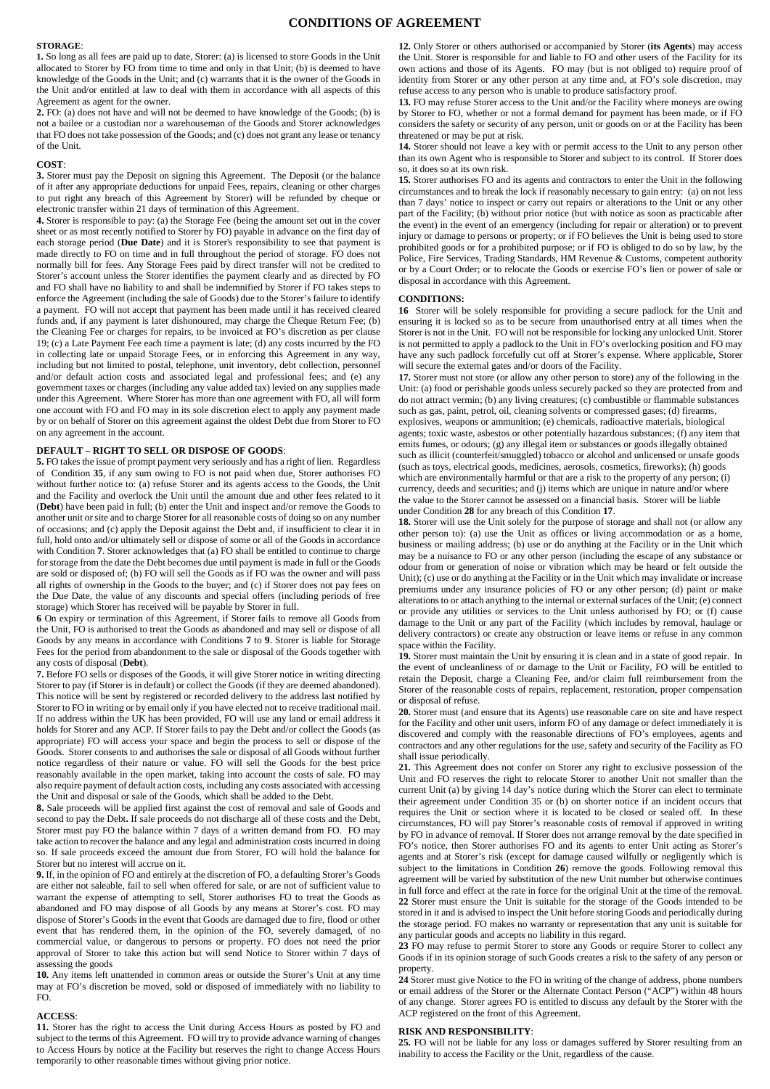## **CONDITIONS OF AGREEMENT**

#### **STORAGE**:

**1.** So long as all fees are paid up to date, Storer: (a) is licensed to store Goods in the Unit allocated to Storer by FO from time to time and only in that Unit; (b) is deemed to have knowledge of the Goods in the Unit; and (c) warrants that it is the owner of the Goods in the Unit and/or entitled at law to deal with them in accordance with all aspects of this Agreement as agent for the owner.

**2.** FO: (a) does not have and will not be deemed to have knowledge of the Goods; (b) is not a bailee or a custodian nor a warehouseman of the Goods and Storer acknowledges that FO does not take possession of the Goods; and (c) does not grant any lease or tenancy of the Unit.

## **COST**:

**3.** Storer must pay the Deposit on signing this Agreement. The Deposit (or the balance of it after any appropriate deductions for unpaid Fees, repairs, cleaning or other charges to put right any breach of this Agreement by Storer) will be refunded by cheque or electronic transfer within 21 days of termination of this Agreement.

**4.** Storer is responsible to pay: (a) the Storage Fee (being the amount set out in the cover sheet or as most recently notified to Storer by FO) payable in advance on the first day of each storage period (**Due Date**) and it is Storer's responsibility to see that payment is made directly to FO on time and in full throughout the period of storage. FO does not normally bill for fees. Any Storage Fees paid by direct transfer will not be credited to Storer's account unless the Storer identifies the payment clearly and as directed by FO and FO shall have no liability to and shall be indemnified by Storer if FO takes steps to enforce the Agreement (including the sale of Goods) due to the Storer's failure to identify a payment. FO will not accept that payment has been made until it has received cleared funds and, if any payment is later dishonoured, may charge the Cheque Return Fee; (b) the Cleaning Fee or charges for repairs, to be invoiced at FO's discretion as per clause 19; (c) a Late Payment Fee each time a payment is late; (d) any costs incurred by the FO in collecting late or unpaid Storage Fees, or in enforcing this Agreement in any way, including but not limited to postal, telephone, unit inventory, debt collection, personnel and/or default action costs and associated legal and professional fees; and (e) any government taxes or charges (including any value added tax) levied on any supplies made under this Agreement. Where Storer has more than one agreement with FO, all will form one account with FO and FO may in its sole discretion elect to apply any payment made by or on behalf of Storer on this agreement against the oldest Debt due from Storer to FO on any agreement in the account.

### **DEFAULT – RIGHT TO SELL OR DISPOSE OF GOODS**:

**5.** FO takes the issue of prompt payment very seriously and has a right of lien.Regardless of Condition **35**, if any sum owing to FO is not paid when due, Storer authorises FO without further notice to: (a) refuse Storer and its agents access to the Goods, the Unit and the Facility and overlock the Unit until the amount due and other fees related to it (**Debt**) have been paid in full; (b) enter the Unit and inspect and/or remove the Goods to another unit or site and to charge Storer for all reasonable costs of doing so on any number of occasions; and (c) apply the Deposit against the Debt and, if insufficient to clear it in full, hold onto and/or ultimately sell or dispose of some or all of the Goods in accordance with Condition 7. Storer acknowledges that (a) FO shall be entitled to continue to charge for storage from the date the Debt becomes due until payment is made in full or the Goods are sold or disposed of; (b) FO will sell the Goods as if FO was the owner and will pass all rights of ownership in the Goods to the buyer; and (c) if Storer does not pay fees on the Due Date, the value of any discounts and special offers (including periods of free storage) which Storer has received will be payable by Storer in full.

**6** On expiry or termination of this Agreement, if Storer fails to remove all Goods from the Unit, FO is authorised to treat the Goods as abandoned and may sell or dispose of all Goods by any means in accordance with Conditions **7** to **9**. Storer is liable for Storage Fees for the period from abandonment to the sale or disposal of the Goods together with any costs of disposal (**Debt**).

**7.** Before FO sells or disposes of the Goods, it will give Storer notice in writing directing Storer to pay (if Storer is in default) or collect the Goods (if they are deemed abandoned). This notice will be sent by registered or recorded delivery to the address last notified by Storer to FO in writing or by email only if you have elected not to receive traditional mail. If no address within the UK has been provided, FO will use any land or email address it holds for Storer and any ACP. If Storer fails to pay the Debt and/or collect the Goods (as appropriate) FO will access your space and begin the process to sell or dispose of the Goods. Storer consents to and authorises the sale or disposal of all Goods without further notice regardless of their nature or value. FO will sell the Goods for the best price reasonably available in the open market, taking into account the costs of sale. FO may also require payment of default action costs, including any costs associated with accessing the Unit and disposal or sale of the Goods, which shall be added to the Debt.

**8.** Sale proceeds will be applied first against the cost of removal and sale of Goods and second to pay the Debt**.** If sale proceeds do not discharge all of these costs and the Debt, Storer must pay FO the balance within 7 days of a written demand from FO. FO may take action to recover the balance and any legal and administration costs incurred in doing so. If sale proceeds exceed the amount due from Storer, FO will hold the balance for Storer but no interest will accrue on it.

**9.** If, in the opinion of FO and entirely at the discretion of FO, a defaulting Storer's Goods are either not saleable, fail to sell when offered for sale, or are not of sufficient value to warrant the expense of attempting to sell, Storer authorises FO to treat the Goods as abandoned and FO may dispose of all Goods by any means at Storer's cost. FO may dispose of Storer's Goods in the event that Goods are damaged due to fire, flood or other event that has rendered them, in the opinion of the FO, severely damaged, of no commercial value, or dangerous to persons or property. FO does not need the prior approval of Storer to take this action but will send Notice to Storer within 7 days of assessing the goods

**10.** Any items left unattended in common areas or outside the Storer's Unit at any time may at FO's discretion be moved, sold or disposed of immediately with no liability to FO.

#### **ACCESS**:

**11.** Storer has the right to access the Unit during Access Hours as posted by FO and subject to the terms of this Agreement. FO will try to provide advance warning of changes to Access Hours by notice at the Facility but reserves the right to change Access Hours temporarily to other reasonable times without giving prior notice.

**12.** Only Storer or others authorised or accompanied by Storer (**its Agents**) may access the Unit. Storer is responsible for and liable to FO and other users of the Facility for its own actions and those of its Agents. FO may (but is not obliged to) require proof of identity from Storer or any other person at any time and, at FO's sole discretion, may refuse access to any person who is unable to produce satisfactory proof.

**13.** FO may refuse Storer access to the Unit and/or the Facility where moneys are owing by Storer to FO, whether or not a formal demand for payment has been made, or if FO considers the safety or security of any person, unit or goods on or at the Facility has been threatened or may be put at risk.

**14.** Storer should not leave a key with or permit access to the Unit to any person other than its own Agent who is responsible to Storer and subject to its control. If Storer does so, it does so at its own risk.

**15.** Storer authorises FO and its agents and contractors to enter the Unit in the following circumstances and to break the lock if reasonably necessary to gain entry: (a) on not less than 7 days' notice to inspect or carry out repairs or alterations to the Unit or any other part of the Facility; (b) without prior notice (but with notice as soon as practicable after the event) in the event of an emergency (including for repair or alteration) or to prevent injury or damage to persons or property; or if FO believes the Unit is being used to store prohibited goods or for a prohibited purpose; or if FO is obliged to do so by law, by the Police, Fire Services, Trading Standards, HM Revenue & Customs, competent authority or by a Court Order; or to relocate the Goods or exercise FO's lien or power of sale or disposal in accordance with this Agreement.

#### **CONDITIONS:**

**16** Storer will be solely responsible for providing a secure padlock for the Unit and ensuring it is locked so as to be secure from unauthorised entry at all times when the Storer is not in the Unit. FO will not be responsible for locking any unlocked Unit. Storer is not permitted to apply a padlock to the Unit in FO's overlocking position and FO may have any such padlock forcefully cut off at Storer's expense. Where applicable, Storer will secure the external gates and/or doors of the Facility.

**17.** Storer must not store (or allow any other person to store) any of the following in the Unit: (a) food or perishable goods unless securely packed so they are protected from and do not attract vermin; (b) any living creatures; (c) combustible or flammable substances such as gas, paint, petrol, oil, cleaning solvents or compressed gases; (d) firearms, explosives, weapons or ammunition; (e) chemicals, radioactive materials, biological agents; toxic waste, asbestos or other potentially hazardous substances; (f) any item that emits fumes, or odours; (g) any illegal item or substances or goods illegally obtained such as illicit (counterfeit/smuggled) tobacco or alcohol and unlicensed or unsafe goods (such as toys, electrical goods, medicines, aerosols, cosmetics, fireworks); (h) goods which are environmentally harmful or that are a risk to the property of any person; (i) currency, deeds and securities; and (j) items which are unique in nature and/or where the value to the Storer cannot be assessed on a financial basis. Storer will be liable under Condition **28** for any breach of this Condition **17**.

**18.** Storer will use the Unit solely for the purpose of storage and shall not (or allow any other person to): (a) use the Unit as offices or living accommodation or as a home, business or mailing address; (b) use or do anything at the Facility or in the Unit which may be a nuisance to FO or any other person (including the escape of any substance or odour from or generation of noise or vibration which may be heard or felt outside the Unit); (c) use or do anything at the Facility or in the Unit which may invalidate or increase premiums under any insurance policies of FO or any other person; (d) paint or make alterations to or attach anything to the internal or external surfaces of the Unit; (e) connect or provide any utilities or services to the Unit unless authorised by FO; or (f) cause damage to the Unit or any part of the Facility (which includes by removal, haulage or delivery contractors) or create any obstruction or leave items or refuse in any common space within the Facility.

**19.** Storer must maintain the Unit by ensuring it is clean and in a state of good repair. In the event of uncleanliness of or damage to the Unit or Facility, FO will be entitled to retain the Deposit, charge a Cleaning Fee, and/or claim full reimbursement from the Storer of the reasonable costs of repairs, replacement, restoration, proper compensation or disposal of refuse.

**20.** Storer must (and ensure that its Agents) use reasonable care on site and have respect for the Facility and other unit users, inform FO of any damage or defect immediately it is discovered and comply with the reasonable directions of FO's employees, agents and contractors and any other regulations for the use, safety and security of the Facility as FO shall issue periodically.

**21.** This Agreement does not confer on Storer any right to exclusive possession of the Unit and FO reserves the right to relocate Storer to another Unit not smaller than the current Unit (a) by giving 14 day's notice during which the Storer can elect to terminate their agreement under Condition 35 or (b) on shorter notice if an incident occurs that requires the Unit or section where it is located to be closed or sealed off. In these circumstances, FO will pay Storer's reasonable costs of removal if approved in writing by FO in advance of removal. If Storer does not arrange removal by the date specified in FO's notice, then Storer authorises FO and its agents to enter Unit acting as Storer's agents and at Storer's risk (except for damage caused wilfully or negligently which is subject to the limitations in Condition **26**) remove the goods. Following removal this agreement will be varied by substitution of the new Unit number but otherwise continues in full force and effect at the rate in force for the original Unit at the time of the removal. **22** Storer must ensure the Unit is suitable for the storage of the Goods intended to be stored in it and is advised to inspect the Unit before storing Goods and periodically during the storage period. FO makes no warranty or representation that any unit is suitable for any particular goods and accepts no liability in this regard.

**23** FO may refuse to permit Storer to store any Goods or require Storer to collect any Goods if in its opinion storage of such Goods creates a risk to the safety of any person or property.

**24** Storer must give Notice to the FO in writing of the change of address, phone numbers or email address of the Storer or the Alternate Contact Person ("ACP") within 48 hours of any change. Storer agrees FO is entitled to discuss any default by the Storer with the ACP registered on the front of this Agreement.

## **RISK AND RESPONSIBILITY**:

**25.** FO will not be liable for any loss or damages suffered by Storer resulting from an inability to access the Facility or the Unit, regardless of the cause.